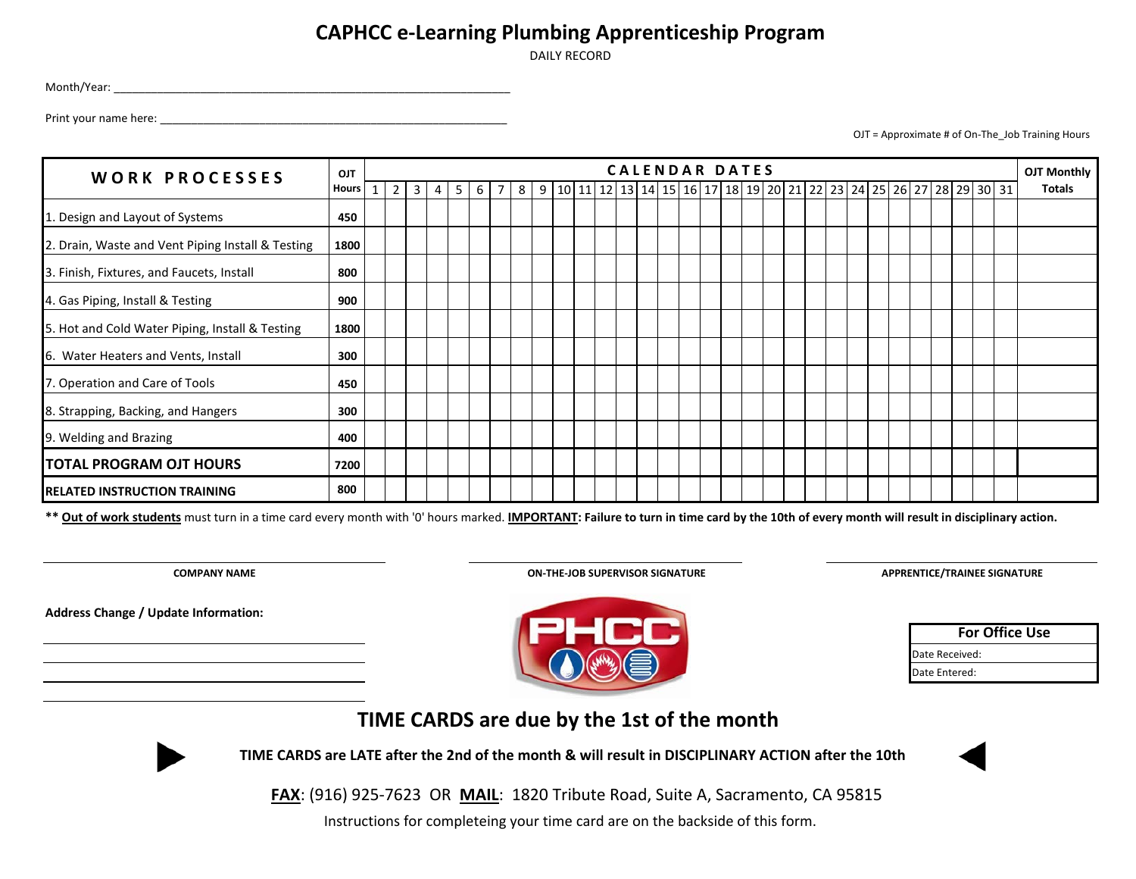## **CAPHCC e-Learning Plumbing Apprenticeship Program**

DAILY RECORD

Month/Year: \_\_\_\_\_\_\_\_\_\_\_\_\_\_\_\_\_\_\_\_\_\_\_\_\_\_\_\_\_\_\_\_\_\_\_\_\_\_\_\_\_\_\_\_\_\_\_\_\_\_\_\_\_\_\_\_\_\_\_\_\_\_\_\_

Print your name here: \_\_\_\_\_\_\_\_\_\_\_\_\_\_\_\_\_\_\_\_\_\_\_\_\_\_\_\_\_\_\_\_\_\_\_\_\_\_\_\_\_\_\_\_\_\_\_\_\_\_\_\_\_\_\_\_

OJT = Approximate # of On-The\_Job Training Hours

| <b>WORK PROCESSES</b>                             | <b>OJT</b>   |                |                |   |   |   |  |                                                                       |  |  |  | <b>CALENDAR DATES</b> |  |  |  |  |  |  | OJT Monthly |
|---------------------------------------------------|--------------|----------------|----------------|---|---|---|--|-----------------------------------------------------------------------|--|--|--|-----------------------|--|--|--|--|--|--|-------------|
|                                                   | <b>Hours</b> | 2 <sup>1</sup> | 3 <sup>1</sup> | 4 | 5 | 6 |  | 8 9 10 11 12 13 14 15 16 17 18 19 20 21 22 23 24 25 26 27 28 29 30 31 |  |  |  |                       |  |  |  |  |  |  | Totals      |
| 1. Design and Layout of Systems                   | 450          |                |                |   |   |   |  |                                                                       |  |  |  |                       |  |  |  |  |  |  |             |
| 2. Drain, Waste and Vent Piping Install & Testing | 1800         |                |                |   |   |   |  |                                                                       |  |  |  |                       |  |  |  |  |  |  |             |
| 3. Finish, Fixtures, and Faucets, Install         | 800          |                |                |   |   |   |  |                                                                       |  |  |  |                       |  |  |  |  |  |  |             |
| 4. Gas Piping, Install & Testing                  | 900          |                |                |   |   |   |  |                                                                       |  |  |  |                       |  |  |  |  |  |  |             |
| 5. Hot and Cold Water Piping, Install & Testing   | 1800         |                |                |   |   |   |  |                                                                       |  |  |  |                       |  |  |  |  |  |  |             |
| 6. Water Heaters and Vents, Install               | 300          |                |                |   |   |   |  |                                                                       |  |  |  |                       |  |  |  |  |  |  |             |
| 7. Operation and Care of Tools                    | 450          |                |                |   |   |   |  |                                                                       |  |  |  |                       |  |  |  |  |  |  |             |
| 8. Strapping, Backing, and Hangers                | 300          |                |                |   |   |   |  |                                                                       |  |  |  |                       |  |  |  |  |  |  |             |
| 9. Welding and Brazing                            | 400          |                |                |   |   |   |  |                                                                       |  |  |  |                       |  |  |  |  |  |  |             |
| <b>TOTAL PROGRAM OJT HOURS</b>                    | 7200         |                |                |   |   |   |  |                                                                       |  |  |  |                       |  |  |  |  |  |  |             |
| <b>RELATED INSTRUCTION TRAINING</b>               | 800          |                |                |   |   |   |  |                                                                       |  |  |  |                       |  |  |  |  |  |  |             |

**\*\* Out of work students** must turn in a time card every month with '0' hours marked. **IMPORTANT: Failure to turn in time card by the 10th of every month will result in disciplinary action.**

**Address Change / Update Information:**

**COMPANY NAME ON-THE-JOB SUPERVISOR SIGNATURE**

**APPRENTICE/TRAINEE SIGNATURE**

| <b>For Office Use</b> |
|-----------------------|
| Date Received:        |
| Date Entered:         |





 **TIME CARDS are LATE after the 2nd of the month & will result in DISCIPLINARY ACTION after the 10th**

 **FAX**: (916) 925-7623 OR **MAIL**: 1820 Tribute Road, Suite A, Sacramento, CA 95815

Instructions for completeing your time card are on the backside of this form.